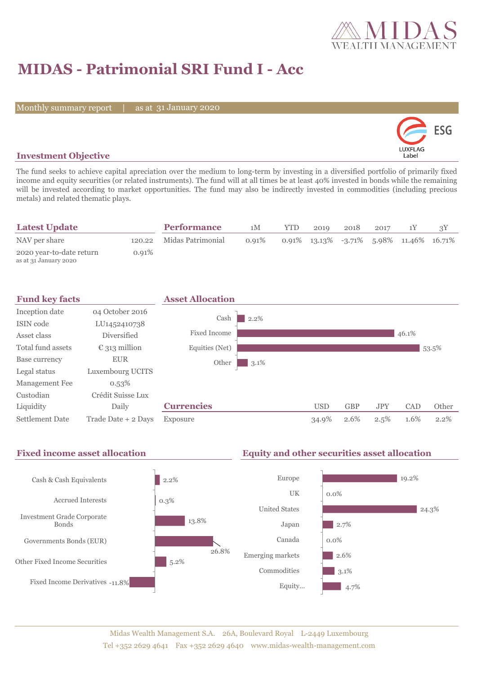

# **MIDAS - Patrimonial SRI Fund I - Acc**

Monthly summary report

31 January 2020



## **Investment Objective**

The fund seeks to achieve capital apreciation over the medium to long-term by investing in a diversified portfolio of primarily fixed income and equity securities (or related instruments). The fund will at all times be at least 40% invested in bonds while the remaining will be invested according to market opportunities. The fund may also be indirectly invested in commodities (including precious metals) and related thematic plays.

| <b>Latest Update</b>                              |       | <b>Performance</b>       | 1M    | YTD | 2019 | 2018 | 2017 |                                                 |  |
|---------------------------------------------------|-------|--------------------------|-------|-----|------|------|------|-------------------------------------------------|--|
| NAV per share                                     |       | 120.22 Midas Patrimonial | 0.91% |     |      |      |      | $0.91\%$ 13.13\% -3.71\% 5.98\% 11.46\% 16.71\% |  |
| 2020 year-to-date return<br>as at 31 January 2020 | 0.91% |                          |       |     |      |      |      |                                                 |  |



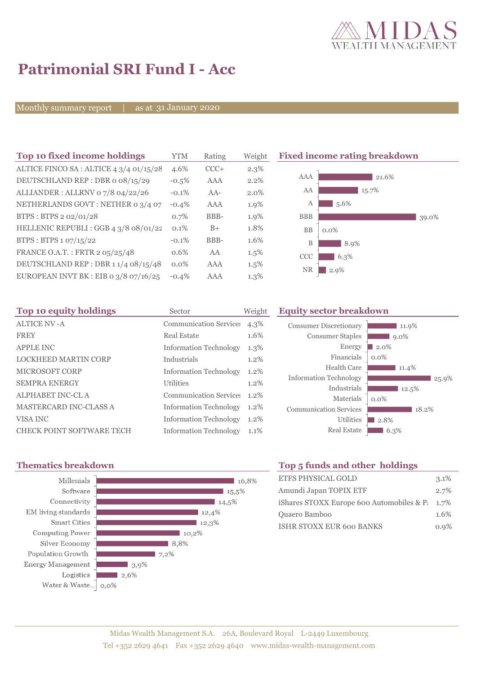

# **Patrimonial SRI Fund I - Acc**

Monthly summary report

31 January 2020

| Top 10 fixed income holdings            | YTM      | Rating | Weigh |
|-----------------------------------------|----------|--------|-------|
| ALTICE FINCO SA: ALTICE 4 3/4 01/15/28  | 4.6%     | $CCC+$ | 2.3%  |
| DEUTSCHLAND REP: DBR o 08/15/29         | $-0.5%$  | AAA    | 2.2%  |
| ALLIANDER: ALLRNV 07/8 04/22/26         | $-0.1\%$ | $AA-$  | 2.0%  |
| NETHERLANDS GOVT: NETHER 0 3/4 07       | $-0.4%$  | AAA    | 1.9%  |
| BTPS: BTPS 2 02/01/28                   | 0.7%     | BBB-   | 1.9%  |
| HELLENIC REPUBLI : GGB 4 3/8 08/01/22   | 0.1%     | $B+$   | 1.8%  |
| BTPS: BTPS 1 07/15/22                   | $-0.1%$  | BBB-   | 1.6%  |
| FRANCE O.A.T.: FRTR 2 05/25/48          | 0.6%     | AA     | 1.5%  |
| DEUTSCHLAND REP : DBR 1 1/4 08/15/48    | $0.0\%$  | AAA    | 1.5%  |
| EUROPEAN INVT BK : EIB o $3/8$ 07/16/25 | $-0.4%$  | AAA    | 1.3%  |

**Fixed income rating breakdown** 



| Top 10 equity holdings           | Sector                        | Weight  | <b>Equity sector breakdown</b> |                     |  |  |
|----------------------------------|-------------------------------|---------|--------------------------------|---------------------|--|--|
| <b>ALTICE NV -A</b>              | <b>Communication Services</b> | 4.3%    | <b>Consumer Discretionary</b>  | 11.9%               |  |  |
| <b>FREY</b>                      | <b>Real Estate</b>            | 1.6%    | <b>Consumer Staples</b>        | $9.0\%$             |  |  |
| <b>APPLE INC</b>                 | Information Technology        | $1.3\%$ | Energy                         | $\blacksquare$ 2.0% |  |  |
| <b>LOCKHEED MARTIN CORP</b>      | Industrials                   | $1.2\%$ | Financials                     | $0.0\%$             |  |  |
| MICROSOFT CORP                   | <b>Information Technology</b> | $1.2\%$ | Health Care                    | 11.4%               |  |  |
| <b>SEMPRA ENERGY</b>             | <b>Utilities</b>              | $1.2\%$ | <b>Information Technology</b>  | 25.9%               |  |  |
| ALPHABET INC-CL A                | Communication Services 1.2%   |         | Industrials                    | 12.5%               |  |  |
|                                  |                               |         | Materials                      | $0.0\%$             |  |  |
| <b>MASTERCARD INC-CLASS A</b>    | <b>Information Technology</b> | $1.2\%$ | <b>Communication Services</b>  | 18.2%               |  |  |
| VISA INC                         | <b>Information Technology</b> | $1.2\%$ | <b>Utilities</b>               | $\blacksquare$ 2.8% |  |  |
| <b>CHECK POINT SOFTWARE TECH</b> | <b>Information Technology</b> | $1.1\%$ | <b>Real Estate</b>             | $16.3\%$            |  |  |



# **Thematics breakdown Top 5 funds and other holdings**

| <b>ETFS PHYSICAL GOLD</b>                          | 3.1% |
|----------------------------------------------------|------|
| Amundi Japan TOPIX ETF                             | 2.7% |
| iShares STOXX Europe 600 Automobiles & P $\,$ 1.7% |      |
| Quaero Bamboo                                      | 1.6% |
| <b>ISHR STOXX EUR 600 BANKS</b>                    | 0.9% |